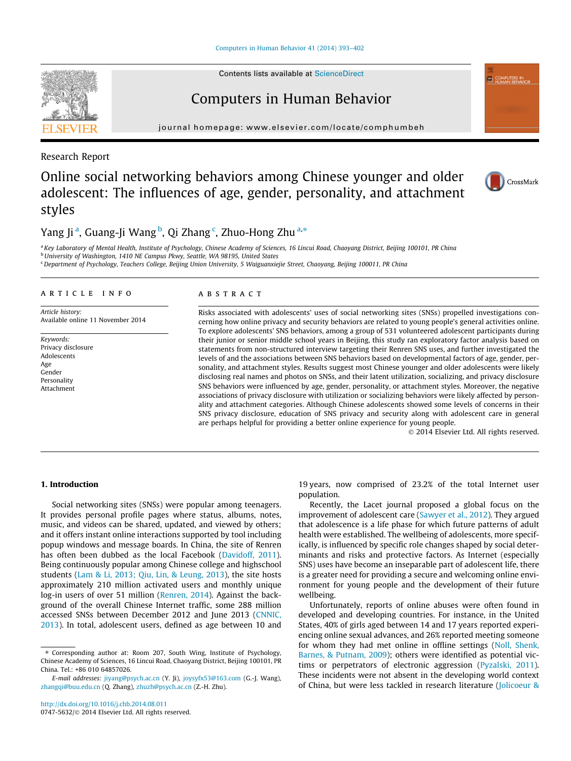[Computers in Human Behavior 41 \(2014\) 393–402](http://dx.doi.org/10.1016/j.chb.2014.08.011)

Contents lists available at [ScienceDirect](http://www.sciencedirect.com/science/journal/07475632)

# Computers in Human Behavior

journal homepage: [www.elsevier.com/locate/comphumbeh](http://www.elsevier.com/locate/comphumbeh)

Research Report

# Online social networking behaviors among Chinese younger and older adolescent: The influences of age, gender, personality, and attachment styles

### Yang Ji <sup>a</sup>, Guang-Ji Wang <sup>b</sup>, Qi Zhang <sup>c</sup>, Zhuo-Hong Zhu <sup>a,</sup>\*

a Key Laboratory of Mental Health, Institute of Psychology, Chinese Academy of Sciences, 16 Lincui Road, Chaoyang District, Beijing 100101, PR China

b University of Washington, 1410 NE Campus Pkwy, Seattle, WA 98195, United States

<sup>c</sup> Department of Psychology, Teachers College, Beijing Union University, 5 Waiguanxiejie Street, Chaoyang, Beijing 100011, PR China

### article info

Article history: Available online 11 November 2014

Keywords: Privacy disclosure Adolescents Age Gender Personality Attachment

#### **ABSTRACT**

Risks associated with adolescents' uses of social networking sites (SNSs) propelled investigations concerning how online privacy and security behaviors are related to young people's general activities online. To explore adolescents' SNS behaviors, among a group of 531 volunteered adolescent participants during their junior or senior middle school years in Beijing, this study ran exploratory factor analysis based on statements from non-structured interview targeting their Renren SNS uses, and further investigated the levels of and the associations between SNS behaviors based on developmental factors of age, gender, personality, and attachment styles. Results suggest most Chinese younger and older adolescents were likely disclosing real names and photos on SNSs, and their latent utilization, socializing, and privacy disclosure SNS behaviors were influenced by age, gender, personality, or attachment styles. Moreover, the negative associations of privacy disclosure with utilization or socializing behaviors were likely affected by personality and attachment categories. Although Chinese adolescents showed some levels of concerns in their SNS privacy disclosure, education of SNS privacy and security along with adolescent care in general are perhaps helpful for providing a better online experience for young people.

- 2014 Elsevier Ltd. All rights reserved.

### 1. Introduction

Social networking sites (SNSs) were popular among teenagers. It provides personal profile pages where status, albums, notes, music, and videos can be shared, updated, and viewed by others; and it offers instant online interactions supported by tool including popup windows and message boards. In China, the site of Renren has often been dubbed as the local Facebook ([Davidoff, 2011\)](#page--1-0). Being continuously popular among Chinese college and highschool students ([Lam & Li, 2013; Qiu, Lin, & Leung, 2013](#page--1-0)), the site hosts approximately 210 million activated users and monthly unique log-in users of over 51 million [\(Renren, 2014\)](#page--1-0). Against the background of the overall Chinese Internet traffic, some 288 million accessed SNSs between December 2012 and June 2013 [\(CNNIC,](#page--1-0) [2013\)](#page--1-0). In total, adolescent users, defined as age between 10 and 19 years, now comprised of 23.2% of the total Internet user population.

Recently, the Lacet journal proposed a global focus on the improvement of adolescent care ([Sawyer et al., 2012\)](#page--1-0). They argued that adolescence is a life phase for which future patterns of adult health were established. The wellbeing of adolescents, more specifically, is influenced by specific role changes shaped by social determinants and risks and protective factors. As Internet (especially SNS) uses have become an inseparable part of adolescent life, there is a greater need for providing a secure and welcoming online environment for young people and the development of their future wellbeing.

Unfortunately, reports of online abuses were often found in developed and developing countries. For instance, in the United States, 40% of girls aged between 14 and 17 years reported experiencing online sexual advances, and 26% reported meeting someone for whom they had met online in offline settings [\(Noll, Shenk,](#page--1-0) [Barnes, & Putnam, 2009\)](#page--1-0); others were identified as potential victims or perpetrators of electronic aggression [\(Pyzalski, 2011\)](#page--1-0). These incidents were not absent in the developing world context of China, but were less tackled in research literature ([Jolicoeur &](#page--1-0)





<sup>⇑</sup> Corresponding author at: Room 207, South Wing, Institute of Psychology, Chinese Academy of Sciences, 16 Lincui Road, Chaoyang District, Beijing 100101, PR China. Tel.: +86 010 64857026.

E-mail addresses: [jiyang@psych.ac.cn](mailto:jiyang@psych.ac.cn) (Y. Ji), [joysyfx53@163.com](mailto:joysyfx53@163.com) (G.-J. Wang), [zhangqi@buu.edu.cn](mailto:zhangqi@buu.edu.cn) (Q. Zhang), [zhuzh@psych.ac.cn](mailto:zhuzh@psych.ac.cn) (Z.-H. Zhu).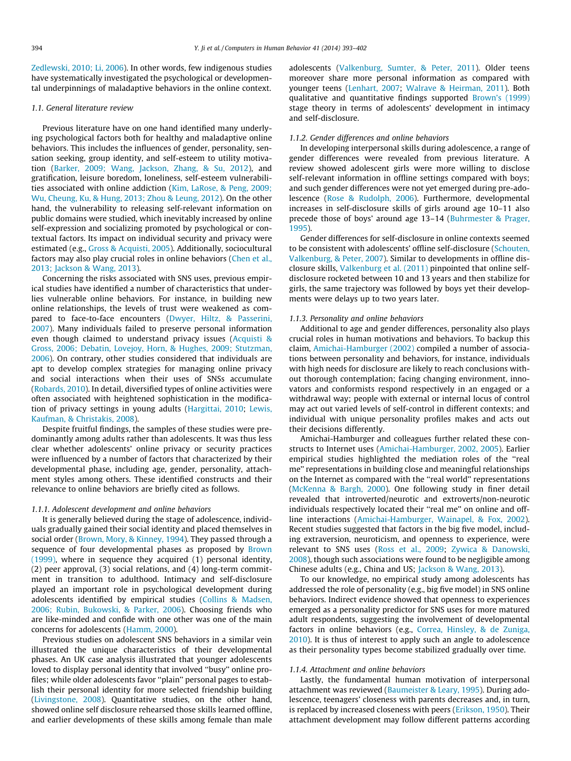[Zedlewski, 2010; Li, 2006\)](#page--1-0). In other words, few indigenous studies have systematically investigated the psychological or developmental underpinnings of maladaptive behaviors in the online context.

#### 1.1. General literature review

Previous literature have on one hand identified many underlying psychological factors both for healthy and maladaptive online behaviors. This includes the influences of gender, personality, sensation seeking, group identity, and self-esteem to utility motivation [\(Barker, 2009; Wang, Jackson, Zhang, & Su, 2012](#page--1-0)), and gratification, leisure boredom, loneliness, self-esteem vulnerabilities associated with online addiction [\(Kim, LaRose, & Peng, 2009;](#page--1-0) [Wu, Cheung, Ku, & Hung, 2013; Zhou & Leung, 2012\)](#page--1-0). On the other hand, the vulnerability to releasing self-relevant information on public domains were studied, which inevitably increased by online self-expression and socializing promoted by psychological or contextual factors. Its impact on individual security and privacy were estimated (e.g., [Gross & Acquisti, 2005](#page--1-0)). Additionally, sociocultural factors may also play crucial roles in online behaviors ([Chen et al.,](#page--1-0) [2013; Jackson & Wang, 2013](#page--1-0)).

Concerning the risks associated with SNS uses, previous empirical studies have identified a number of characteristics that underlies vulnerable online behaviors. For instance, in building new online relationships, the levels of trust were weakened as compared to face-to-face encounters ([Dwyer, Hiltz, & Passerini,](#page--1-0) [2007\)](#page--1-0). Many individuals failed to preserve personal information even though claimed to understand privacy issues ([Acquisti &](#page--1-0) [Gross, 2006; Debatin, Lovejoy, Horn, & Hughes, 2009; Stutzman,](#page--1-0) [2006\)](#page--1-0). On contrary, other studies considered that individuals are apt to develop complex strategies for managing online privacy and social interactions when their uses of SNSs accumulate ([Robards, 2010\)](#page--1-0). In detail, diversified types of online activities were often associated with heightened sophistication in the modification of privacy settings in young adults ([Hargittai, 2010;](#page--1-0) [Lewis,](#page--1-0) [Kaufman, & Christakis, 2008](#page--1-0)).

Despite fruitful findings, the samples of these studies were predominantly among adults rather than adolescents. It was thus less clear whether adolescents' online privacy or security practices were influenced by a number of factors that characterized by their developmental phase, including age, gender, personality, attachment styles among others. These identified constructs and their relevance to online behaviors are briefly cited as follows.

#### 1.1.1. Adolescent development and online behaviors

It is generally believed during the stage of adolescence, individuals gradually gained their social identity and placed themselves in social order ([Brown, Mory, & Kinney, 1994\)](#page--1-0). They passed through a sequence of four developmental phases as proposed by [Brown](#page--1-0) [\(1999\),](#page--1-0) where in sequence they acquired (1) personal identity, (2) peer approval, (3) social relations, and (4) long-term commitment in transition to adulthood. Intimacy and self-disclosure played an important role in psychological development during adolescents identified by empirical studies ([Collins & Madsen,](#page--1-0) [2006; Rubin, Bukowski, & Parker, 2006\)](#page--1-0). Choosing friends who are like-minded and confide with one other was one of the main concerns for adolescents ([Hamm, 2000\)](#page--1-0).

Previous studies on adolescent SNS behaviors in a similar vein illustrated the unique characteristics of their developmental phases. An UK case analysis illustrated that younger adolescents loved to display personal identity that involved ''busy'' online profiles; while older adolescents favor ''plain'' personal pages to establish their personal identity for more selected friendship building ([Livingstone, 2008\)](#page--1-0). Quantitative studies, on the other hand, showed online self disclosure rehearsed those skills learned offline, and earlier developments of these skills among female than male adolescents [\(Valkenburg, Sumter, & Peter, 2011](#page--1-0)). Older teens moreover share more personal information as compared with younger teens ([Lenhart, 2007](#page--1-0); [Walrave & Heirman, 2011](#page--1-0)). Both qualitative and quantitative findings supported [Brown's \(1999\)](#page--1-0) stage theory in terms of adolescents' development in intimacy and self-disclosure.

#### 1.1.2. Gender differences and online behaviors

In developing interpersonal skills during adolescence, a range of gender differences were revealed from previous literature. A review showed adolescent girls were more willing to disclose self-relevant information in offline settings compared with boys; and such gender differences were not yet emerged during pre-adolescence [\(Rose & Rudolph, 2006\)](#page--1-0). Furthermore, developmental increases in self-disclosure skills of girls around age 10–11 also precede those of boys' around age 13–14 ([Buhrmester & Prager,](#page--1-0) [1995\)](#page--1-0).

Gender differences for self-disclosure in online contexts seemed to be consistent with adolescents' offline self-disclosure [\(Schouten,](#page--1-0) [Valkenburg, & Peter, 2007](#page--1-0)). Similar to developments in offline disclosure skills, [Valkenburg et al. \(2011\)](#page--1-0) pinpointed that online selfdisclosure rocketed between 10 and 13 years and then stabilize for girls, the same trajectory was followed by boys yet their developments were delays up to two years later.

#### 1.1.3. Personality and online behaviors

Additional to age and gender differences, personality also plays crucial roles in human motivations and behaviors. To backup this claim, [Amichai-Hamburger \(2002\)](#page--1-0) compiled a number of associations between personality and behaviors, for instance, individuals with high needs for disclosure are likely to reach conclusions without thorough contemplation; facing changing environment, innovators and conformists respond respectively in an engaged or a withdrawal way; people with external or internal locus of control may act out varied levels of self-control in different contexts; and individual with unique personality profiles makes and acts out their decisions differently.

Amichai-Hamburger and colleagues further related these constructs to Internet uses [\(Amichai-Hamburger, 2002, 2005](#page--1-0)). Earlier empirical studies highlighted the mediation roles of the ''real me'' representations in building close and meaningful relationships on the Internet as compared with the ''real world'' representations ([McKenna & Bargh, 2000](#page--1-0)). One following study in finer detail revealed that introverted/neurotic and extroverts/non-neurotic individuals respectively located their "real me" on online and offline interactions ([Amichai-Hamburger, Wainapel, & Fox, 2002\)](#page--1-0). Recent studies suggested that factors in the big five model, including extraversion, neuroticism, and openness to experience, were relevant to SNS uses ([Ross et al., 2009](#page--1-0); [Zywica & Danowski,](#page--1-0) [2008\)](#page--1-0), though such associations were found to be negligible among Chinese adults (e.g., China and US; [Jackson & Wang, 2013](#page--1-0)).

To our knowledge, no empirical study among adolescents has addressed the role of personality (e.g., big five model) in SNS online behaviors. Indirect evidence showed that openness to experiences emerged as a personality predictor for SNS uses for more matured adult respondents, suggesting the involvement of developmental factors in online behaviors (e.g., [Correa, Hinsley, & de Zuniga,](#page--1-0) [2010\)](#page--1-0). It is thus of interest to apply such an angle to adolescence as their personality types become stabilized gradually over time.

#### 1.1.4. Attachment and online behaviors

Lastly, the fundamental human motivation of interpersonal attachment was reviewed [\(Baumeister & Leary, 1995\)](#page--1-0). During adolescence, teenagers' closeness with parents decreases and, in turn, is replaced by increased closeness with peers [\(Erikson, 1950](#page--1-0)). Their attachment development may follow different patterns according